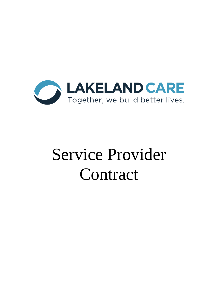

# Service Provider Contract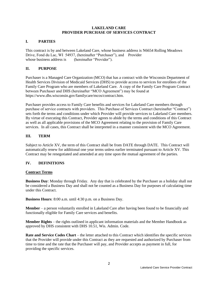#### **LAKELAND CARE PROVIDER PURCHASE OF SERVICES CONTRACT**

## **I. PARTIES**

This contract is by and between Lakeland Care, whose business address is N6654 Rolling Meadows Drive, Fond du Lac, WI 54937, (hereinafter "Purchaser"), and Provider whose business address is (hereinafter "Provider").

# **II. PURPOSE**

Purchaser is a Managed Care Organization (MCO) that has a contract with the Wisconsin Department of Health Services Division of Medicaid Services (DHS) to provide access to services for enrollees of the Family Care Program who are members of Lakeland Care. A copy of the Family Care Program Contract between Purchaser and DHS (hereinafter "MCO Agreement") may be found at https://www.dhs.wisconsin.gov/familycare/mcos/contract.htm.

Purchaser provides access to Family Care benefits and services for Lakeland Care members through purchase of service contracts with providers. This Purchase of Services Contract (hereinafter "Contract") sets forth the terms and conditions under which Provider will provide services to Lakeland Care members. By virtue of executing this Contract, Provider agrees to abide by the terms and conditions of this Contract as well as all applicable provisions of the MCO Agreement relating to the provision of Family Care services. In all cases, this Contract shall be interpreted in a manner consistent with the MCO Agreement.

## **III. TERM**

Subject to Article XV, the term of this Contract shall be from DATE through DATE. This Contract will automatically renew for additional one year terms unless earlier terminated pursuant to Article XV. This Contract may be renegotiated and amended at any time upon the mutual agreement of the parties.

## **IV. DEFINITIONS**

## **Contract Terms**

**Business Day**: Monday through Friday. Any day that is celebrated by the Purchaser as a holiday shall not be considered a Business Day and shall not be counted as a Business Day for purposes of calculating time under this Contract.

**Business Hours**: 8:00 a.m. until 4:30 p.m. on a Business Day.

**Member** – a person voluntarily enrolled in Lakeland Care after having been found to be financially and functionally eligible for Family Care services and benefits.

**Member Rights** – the rights outlined in applicant information materials and the Member Handbook as approved by DHS consistent with DHS 10.51, Wis. Admin. Code.

**Rate and Service Codes Chart** – the letter attached to this Contract which identifies the specific services that the Provider will provide under this Contract as they are requested and authorized by Purchaser from time to time and the rate that the Purchaser will pay, and Provider accepts as payment in full, for providing the specific services.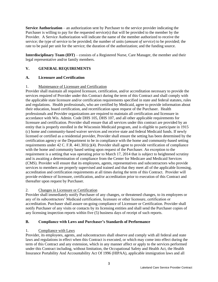**Service Authorization** – an authorization sent by Purchaser to the service provider indicating the Purchaser is willing to pay for the requested service(s) that will be provided to the member by the Provider. A Service Authorization will indicate the name of the member authorized to receive the service; the type of service to be provided; the number of units (*amount of service*) to be provided; the rate to be paid per unit for the service; the duration of the authorization; and the funding source.

**Interdisciplinary Team (IDT)** – consists of a Registered Nurse, Care Manager, the member and their legal representative and/or family members.

## **V. GENERAL REQUIREMENTS**

## **A. Licensure and Certification**

## 1. Maintenance of Licensure and Certification

Provider shall maintain all required licensure, certification, and/or accreditation necessary to provide the services required of Provider under this Contract during the term of this Contract and shall comply with the applicable state licensure and/or certification requirements specified in state and federal statutes, rules and regulations. Health professionals, who are certified by Medicaid, agree to provide information about their education, board certification, and recertification upon request of the Purchaser. Health professionals and Provider organizations are required to maintain all certification and licensure in accordance with Wis. Admin. Code DHS 105, DHS 107, and all other applicable requirements for licensure and certification. Provider shall ensure that all services under this contract are provided by an entity that is properly enrolled in the Wisconsin Medicaid program, and is eligible to participate in 1915 (c) home and community-based waiver services and receive state and federal Medicaid funds. If newly licensed or certified as a residential provider, Provider shall ensure the setting has been determined by the certification agency or the Department to be in compliance with the home and community-based setting requirements under 42 C. F.R. 441.301(c)(4). Provider shall agree to provide verification of compliance with the home and community based setting upon request of the Purchaser. An exception to the requirement is a setting that was operating prior to March 17, 2014 that is subject to heightened scrutiny and is awaiting a determination of compliance from the Center for Medicare and Medicaid Services (CMS). Provider will ensure that its employees, agents, representatives and subcontractors who provide services to members are properly supervised and trained and that they meet all of the applicable licensing, accreditation and certification requirements at all times during the term of this Contract. Provider will provide evidence of licensure, certification, and/or accreditation prior to execution of this Contract and thereafter upon request by Purchaser.

## 2. Changes in Licensure or Certification

Provider shall immediately notify Purchaser of any changes, or threatened changes, to its employees or any of its subcontractors' Medicaid certification, licensure or other licensure, certification or accreditation. Purchaser shall assure on-going compliance of Licensure or Certification. Provider shall notify Purchaser of any visits or contacts by its licensing entities and shall send the Purchaser copies of any licensing inspection reports within five (5) business days of receipt of such reports.

## **B. Compliance with Laws and Purchaser's Standards of Performance**

## 1. Compliance with Laws

Provider, its employees, agents, and subcontractors shall observe and comply with all federal and state laws and regulations in effect when this Contract is executed, or which may come into effect during the term of this Contract and any extension, which in any manner affect or apply to the services performed under this Contract including, without limitation, the Occupational Safety and Health Act, the Health Insurance Portability And Accountability Act Of 1996 (HIPAA), applicable immigration laws and all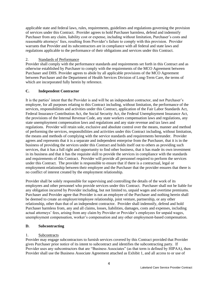applicable state and federal laws, rules, requirements, guidelines and regulations governing the provision of services under this Contract. Provider agrees to hold Purchaser harmless, defend and indemnify Purchaser from any claim, liability cost or expense, including without limitation, Purchaser's costs and reasonable attorneys' fees, resulting from Provider's failure to comply with this provision. Provider warrants that Provider and its subcontractors are in compliance with all federal and state laws and regulations applicable to the performance of their obligations and services under this Contract.

#### 2. Standards of Performance

Provider shall comply with the performance standards and requirements set forth in this Contract and as otherwise established by Purchaser to comply with the requirements of the MCO Agreement between Purchaser and DHS. Provider agrees to abide by all applicable provisions of the MCO Agreement between Purchaser and the Department of Health Services Division of Long-Term Care, the terms of which are incorporated fully herein by reference.

#### **C. Independent Contractor**

It is the parties' intent that the Provider is and will be an independent contractor, and not Purchaser's employee, for all purposes relating to this Contract including, without limitation, the performance of the services, responsibilities and activities under this Contract, application of the Fair Labor Standards Act, Federal Insurance Contribution Act, the Social Security Act, the Federal Unemployment Insurance Act, the provisions of the Internal Revenue Code, any state workers compensation laws and regulations, any state unemployment compensation laws and regulations and any state revenue and tax laws and regulations. Provider will retain sole, exclusive and absolute control over the means, manner and method of performing the services, responsibilities and activities under this Contract including, without limitation, the means and methods of complying with the service standards and requirements hereunder. Provider agrees and represents that it is a separate and independent enterprise from the Purchaser, that it is in the business of providing the services under this Contract and holds itself out to others as providing such services, that it has a full right and opportunity to find other business, that it has made its own investment in its business and that it has the requisite skill to provide the services in compliance with the standards and requirements of this Contract. Provider will provide all personnel required to perform the services under this Contract. The provider is responsible to ensure that if there is a contractual, legal or employment relationship between their employee and the Purchaser that the provider ensures that there is no conflict of interest created by the employment relationship.

Provider shall be solely responsible for supervising and controlling the details of the work of its employees and other personnel who provide services under this Contract. Purchaser shall not be liable for any obligation incurred by Provider including, but not limited to, unpaid wages and overtime premiums. Purchaser and Provider agree that Provider is not an employee of the Purchaser and nothing herein shall be deemed to create an employer/employee relationship, joint venture, partnership, or any other relationship, other than that of an independent contractor. Provider shall indemnify, defend and hold Purchaser harmless from, any and all claims, losses, liabilities, damages, costs and expenses, including actual attorneys' fees, arising from any claim by Provider or Provider's employees for unpaid wages, unemployment compensation, worker's compensation and any other employment-based compensation.

## **D. Subcontracting**

#### 1. Subcontracts

Provider may engage subcontractors to furnish services covered by this Contract provided that Provider gives Purchaser prior notice of its intent to subcontract and identifies the subcontracting party. If Provider uses any subcontractors that are "Business Associates" (as that term is defined by HIPAA), then Provider shall use the Business Associate Agreement attached as Exhibit 1, and all access to or use of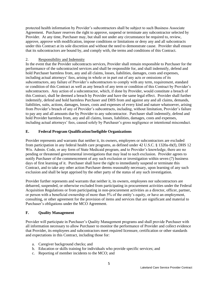protected health information by Provider's subcontractors shall be subject to such Business Associate Agreement. Purchaser reserves the right to approve, suspend or terminate any subcontractor selected by Provider. At any time, Purchaser may, but shall not under any circumstance be required to, review, approve, approve with modification, impose conditions or limitations or deny any and all subcontracts under this Contract at its sole discretion and without the need to demonstrate cause. Provider shall ensure that its subcontractors are bound by, and comply with, the terms and conditions of this Contract.

#### 2. Responsibility and Indemnity

In the event that the Provider subcontracts services, Provider shall remain responsible to Purchaser for the performance of the subcontracted services and shall be responsible for, and shall indemnify, defend and hold Purchaser harmless from, any and all claims, losses, liabilities, damages, costs and expenses, including actual attorneys' fees, arising in whole or in part out of any acts or omissions of its subcontractors, any failure of Provider's subcontractors to comply with any term, requirement, standard or condition of this Contract as well as any breach of any term or condition of this Contract by Provider's subcontractors. Any action of a subcontractor, which, if done by Provider, would constitute a breach of this Contract, shall be deemed a breach by Provider and have the same legal effect. Provider shall further indemnify, defend and hold harmless Purchaser and DHS from and against any and all claims, demands, liabilities, suits, actions, damages, losses, costs and expenses of every kind and nature whatsoever, arising from Provider's breach of any of Provider's subcontracts, including, without limitation, Provider's failure to pay any and all amounts due by Provider to any subcontractor. Purchaser shall indemnify, defend and hold Provider harmless from, any and all claims, losses, liabilities, damages, costs and expenses, including actual attorneys' fees, caused solely by Purchaser's gross negligence or intentional misconduct.

## **E. Federal Program Qualification/Ineligible Organizations**

Provider represents and warrants that neither it, its owners, employees or subcontractors are excluded from participation in any federal health care programs, as defined under 42 U.S.C. § 1320a-tb(f), DHS 12 Wis. Admin. Code, or any form of State Medicaid program, and to Provider's knowledge, there are no pending or threatened governmental investigations that may lead to such exclusion. Provider agrees to notify Purchaser of the commencement of any such exclusion or investigation within seven (7) business days of first learning of it. Purchaser shall have the right to immediately suspend or terminate this Contract, and to take any other action Purchaser deems reasonably necessary, upon learning of any such exclusion and shall be kept apprised by the other party of the status of any such investigation.

Provider further represents and warrants that neither it, its owners, employees nor subcontractors are debarred, suspended, or otherwise excluded from participating in procurement activities under the Federal Acquisition Regulations or from participating in non-procurement activities as a director, officer, partner, or person with a beneficial ownership of more than 5% of the entity's equity, or have an employment, consulting, or other agreement for the provision of items and services that are significant and material to Purchaser's obligations under the MCO Agreement.

## **F. Quality Management**

Provider will participate in Purchaser's Quality Management programs and shall provide Purchaser with all information necessary to allow Purchaser to monitor the performance of Provider and collect evidence that Provider, its employees and subcontractors meet required licensure, certification or other standards and expectations in this Contract, including those for:

- a. Caregiver background checks; and
- b. Education or skills training for individuals who provide specific services; and
- c. Reporting of member incidents to the MCO; and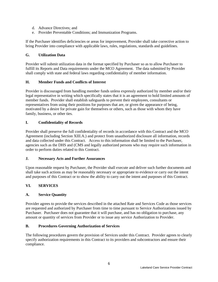- d. Advance Directives; and
- e. Provider Preventable Conditions; and Immunization Programs.

If the Purchaser identifies deficiencies or areas for improvement, Provider shall take corrective action to bring Provider into compliance with applicable laws, rules, regulations, standards and guidelines.

## **G. Utilization Data**

Provider will submit utilization data in the format specified by Purchaser so as to allow Purchaser to fulfill its Reports and Data requirements under the MCO Agreement. The data submitted by Provider shall comply with state and federal laws regarding confidentiality of member information.

## **H. Member Funds and Conflicts of Interest**

Provider is discouraged from handling member funds unless expressly authorized by member and/or their legal representative in writing which specifically states that it is an agreement to hold limited amounts of member funds. Provider shall establish safeguards to prevent their employees, consultants or representatives from using their positions for purposes that are, or given the appearance of being, motivated by a desire for private gain for themselves or others, such as those with whom they have family, business, or other ties.

# **I. Confidentiality of Records**

Provider shall preserve the full confidentiality of records in accordance with this Contract and the MCO Agreement (including Section XIII.A.) and protect from unauthorized disclosure all information, records and data collected under this Contract. Access to this information shall be limited to the Purchaser, agencies such as the DHS and (CMS and legally authorized persons who may require such information in order to perform duties related to this Contract.

## **J. Necessary Acts and Further Assurances**

Upon reasonable request by Purchaser, the Provider shall execute and deliver such further documents and shall take such actions as may be reasonably necessary or appropriate to evidence or carry out the intent and purposes of this Contract or to show the ability to carry out the intent and purposes of this Contract.

# **VI. SERVICES**

## **A. Service Quantity**

Provider agrees to provide the services described in the attached Rate and Services Code as those services are requested and authorized by Purchaser from time to time pursuant to Service Authorizations issued by Purchaser. Purchaser does not guarantee that it will purchase, and has no obligation to purchase, any amount or quantity of services from Provider or to issue any service Authorization to Provider.

## **B. Procedures Governing Authorization of Services**

The following procedures govern the provision of Services under this Contract. Provider agrees to clearly specify authorization requirements in this Contract to its providers and subcontractors and ensure their compliance.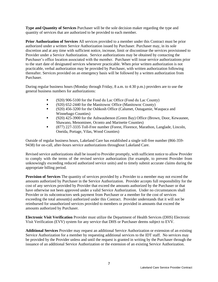**Type and Quantity of Services** Purchaser will be the sole decision maker regarding the type and quantity of services that are authorized to be provided to each member.

**Prior Authorization of Services** All services provided to a member under this Contract must be prior authorized under a written Service Authorization issued by Purchaser. Purchaser may, in its sole discretion and at any time with sufficient notice, increase, limit or discontinue the services provisioned to Provider under a Service Authorization. Service authorizations may be obtained by contacting the Purchaser's office location associated with the member. Purchaser will issue service authorizations prior to the start date of designated services whenever practicable. When prior written authorization is not practicable, verbal authorization may be provided by Purchaser, with written authorization following thereafter. Services provided on an emergency basis will be followed by a written authorization from Purchaser.

During regular business hours (Monday through Friday, 8 a.m. to 4:30 p.m.) providers are to use the general business numbers for authorizations:

- (920) 906-5100 for the Fond du Lac Office (Fond du Lac County)
- (920) 652-2440 for the Manitowoc Office (Manitowoc County)
- (920) 456-3200 for the Oshkosh Office (Calumet, Outagamie, Waupaca and Winnebago Counties)
- (920) 425-3900 for the Ashwaubenon (Green Bay) Office (Brown, Door, Kewaunee, Shawano, Menominee, Oconto and Marinette Counties)
- (877) 227-3335 Toll-Free number (Forest, Florence, Marathon, Langlade, Lincoln, Oneida, Portage, Vilas, Wood Counties)

Outside of regular business hours, Lakeland Care has established a single toll-free number (866-359- 9438) for on-call, after-hours service authorizations throughout Lakeland Care*.*

Revised service authorizations shall be issued to Provider promptly, with sufficient notice to allow Provider to comply with the terms of the revised service authorization (for example, to prevent Provider from unknowingly exceeding reduced authorized service units) and to timely submit accurate claims during the appropriate billing period.

**Provision of Services** The quantity of services provided by a Provider to a member may not exceed the amounts authorized by Purchaser in the Service Authorization. Provider accepts full responsibility for the cost of any services provided by Provider that exceed the amounts authorized by the Purchaser or that have otherwise not been approved under a valid Service Authorization. Under no circumstances shall Provider or its subcontractors seek payment from Purchaser or a member for the cost of services exceeding the total amount(s) authorized under this Contract. Provider understands that it will not be reimbursed for unauthorized services provided to members or provided in amounts that exceed the amounts authorized by Purchaser.

**Electronic Visit Verification** Provider must utilize the Department of Health Services (DHS) Electronic Visit Verification (EVV) system for any service that DHS or Purchaser deems subject to EVV.

**Additional Services** Provider may request an additional Service Authorization or extension of an existing Service Authorization for a member by requesting additional services to the IDT staff. No services may be provided by the Provider unless and until the request is granted in writing by the Purchaser through the issuance of an additional Service Authorization or the extension of an existing Service Authorization.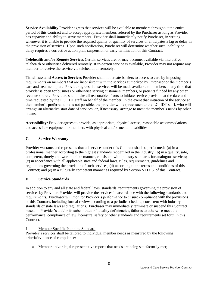**Service Availability** Provider agrees that services will be available to members throughout the entire period of this Contract and to accept appropriate members referred by the Purchaser as long as Provider has capacity and ability to serve members. Provider shall immediately notify Purchaser, in writing, whenever it is unable to provide the required quality or quantity of services or anticipates a lag or delay in the provision of services. Upon such notification, Purchaser will determine whether such inability or delay requires a corrective action plan, suspension or early termination of this Contract.

**Telehealth and/or Remote Services** Certain services are, or may become, available via interactive telehealth or otherwise delivered remotely. If in-person service is available, Provider may not require any member to receive the service via telehealth or remotely.

**Timeliness and Access to Services** Provider shall not create barriers to access to care by imposing requirements on members that are inconsistent with the services authorized by Purchaser or the member's care and treatment plan. Provider agrees that services will be made available to members at any time that provider is open for business or otherwise serving customers, members, or patients funded by any other revenue source. Providers shall make all reasonable efforts to initiate service provision at the date and time requested by the LCI IDT staff on behalf of the member. In the event that initiation of the service at the member's preferred time is not possible, the provider will express such to the LCI IDT staff, who will arrange an alternative start date of services, or, if necessary, arrange to meet the member's needs by other means.

**Accessibility***:* Provider agrees to provide, as appropriate, physical access, reasonable accommodations, and accessible equipment to members with physical and/or mental disabilities.

#### **C. Service Warranty**

Provider warrants and represents that all services under this Contract shall be performed: (a) in a professional manner according to the highest standards recognized in the industry; (b) in a quality, safe, competent, timely and workmanlike manner, consistent with industry standards for analogous services; (c) in accordance with all applicable state and federal laws, rules, requirements, guidelines and regulations governing the provision of such services; (d) according to the terms and conditions of this Contract; and (e) in a culturally competent manner as required by Section VI D. 5. of this Contract.

#### **D. Service Standards**

In addition to any and all state and federal laws, standards, requirements governing the provision of services by Provider, Provider will provide the services in accordance with the following standards and requirements. Purchaser will monitor Provider's performance to ensure compliance with the provisions of this Contract, including formal review according to a periodic schedule, consistent with industry standards or state laws and regulations. Purchaser may immediately terminate or suspend this Contract based on Provider's and/or its subcontractors' quality deficiencies, failures to otherwise meet the performance, compliance of law, licensure, safety or other standards and requirements set forth in this Contract.

#### 1. Member Specific Planning Standard

Provider's services shall be tailored to individual member needs as measured by the following criteria/evidence of compliance:

a. Member and/or legal representative reports that needs are being satisfactorily met;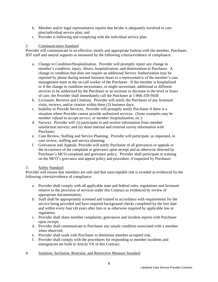- b. Member and/or legal representative reports that he/she is adequately involved in care plan/individual service plan; and
- c. Provider is following and complying with the individual service plan.

#### 2. Communication Standard

Provider will communicate in an effective, timely and appropriate fashion with the member, Purchaser, IDT staff and natural supports as measured by the following criteria/evidence of compliance:

- a. Change in Condition/Hospitalization. Provider will promptly report any change in member's condition, injury, illness, hospitalization, and deterioration to Purchaser. A change in condition that does not require an additional Service Authorization may be reported by phone during normal business hours to a representative of the member's care management team or the on-call worker of the Purchaser. If the member is hospitalized or if the change in condition necessitates, or might necessitate, additional or different services to be authorized by the Purchaser or an increase or decrease in the level or hours of care, the Provider shall immediately call the Purchaser at 1-866-359-9438
- b. Licensure, Reviews and Citations. Provider will notify the Purchaser of any licensure visits, reviews, and/or citation within three (3) business days;
- c. Inability to Provide Services. Provider will promptly notify Purchaser if there is a situation where Provider cannot provide authorized services. (*Some examples may be member refusal to accept service, or member hospitalization, etc*.)
- d. Surveys. Provider will: (i) participate in and receive information from member satisfaction surveys; and (ii) share internal and external survey information with Purchaser;
- e. Case Review, Staffing and Service Planning. Provider will participate, as requested, in case review, staffing and service planning;
- f. Grievances and Appeals. Provider will notify Purchaser of all grievances or appeals or the occurrence of the complaint or grievance upon receipt and as otherwise directed by Purchaser's MCO complaint and grievance policy. Provider shall participate in training on the MCO's grievance and appeal policy and procedure, if requested by Purchaser.

#### 3. Safety Standard

Provider will ensure that members are safe and that unacceptable risk is avoided as evidenced by the following criteria/evidence of compliance:

- a. Provider shall comply with all applicable state and federal rules, regulations and licensure relative to the provision of services under this Contract as evidenced by review of appropriate documentation;
- b. Staff shall be appropriately screened and trained in accordance with requirements for the service being provided and have required background checks completed by the hire date and within every four (4) years after hire or as otherwise required by applicable law or regulation;
- c. Provider shall share member complaints, grievances and incident reports with Purchaser upon receipt;
- d. Provider shall communicate to Purchaser any unsafe condition associated with a member when observed;
- e. Provider shall work with Purchaser to determine member-accepted risk;
- f. Provider shall comply with the procedures for responding to member incidents and emergencies set forth in Article VII of this Contract.
- 4. Isolation, Seclusion, Restraint, and Restrictive Measure Standard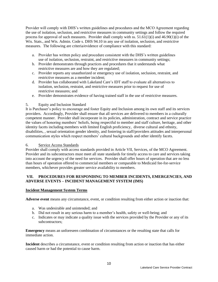Provider will comply with DHS's written guidelines and procedures and the MCO Agreement regarding the use of isolation, seclusion, and restrictive measures in community settings and follow the required process for approval of such measures. Provider shall comply with ss. 51.61(1)(i) and 46.90(1)(i) of the Wis. Stats., and Wis. Admin. Code s. DHS 94.10 in any use of isolation, seclusion, and restrictive measures. The following are criteria/evidence of compliance with this standard:

- a. Provider has written policy and procedure consistent with the DHS's written guidelines use of isolation, seclusion, restraint, and restrictive measures in community settings;
- b. Provider demonstrates through practices and procedures that it understands what restrictive measures are and how they are regulated;
- c. Provider reports any unauthorized or emergency use of isolation, seclusion, restraint, and restrictive measures as a member incident;
- d. Provider has collaborated with Lakeland Care's IDT staff to evaluate all alternatives to isolation, seclusion, restraint, and restrictive measures prior to request for use of restrictive measures; and
- e. Provider demonstrates evidence of having trained staff in the use of restrictive measures.

#### 5. Equity and Inclusion Standard

It is Purchaser's policy to encourage and foster Equity and Inclusion among its own staff and its services providers. Accordingly, Provider shall ensure that all services are delivered to members in a culturally competent manner. Provider shall incorporate in its policies, administration, contract and service practice the values of honoring members' beliefs, being respectful to member and staff culture, heritage, and other identity facets including members with limited English proficiency, diverse cultural and ethnity, disabilities, , sexual orientation gender identity, and fostering in staff/providers attitudes and interpersonal communication styles which respect members' cultural backgrounds and other identify facets.

#### 6. Service Access Standards

Provider shall comply with access standards provided in Article VII, Services, of the MCO Agreement. Provider and its subcontractors must meet all state standards for timely access to care and services taking into account the urgency of the need for services. Provider shall offer hours of operation that are no less than hours of operation offered to commercial members or comparable to Medicaid fee-for-service members, whichever provides greater service availability to members.

## **VII. PROCEDURES FOR RESPONDING TO MEMBER INCIDENTS, EMERGENCIES, AND ADVERSE EVENTS – INCIDENT MANAGEMENT SYSTEM (IMS)**

#### **Incident Management System Terms**

**Adverse event** means any circumstance, event, or condition resulting from either action or inaction that:

- a. Was undesirable and unintended; and
- b. Did not result in any serious harm to a member's health, safety or well-being; and
- c. Indicates or may indicate a quality issue with the services provided by the Provider or any of its subcontractors;

**Emergency** means an unforeseen combination of circumstances or the resulting state that calls for immediate action.

**Incident** describes a circumstance, event or condition resulting from action or inaction that has either caused harm or had the potential to cause harm.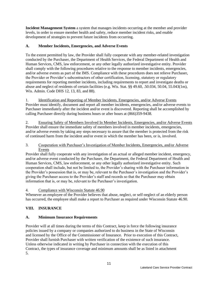**Incident Management System** a system that manages incidents occurring at the member and provider levels, in order to ensure member health and safety, reduce member incident risks, and enable development of strategies to prevent future incidents from occurring.

# **A. Member Incidents, Emergencies, and Adverse Events**

To the extent permitted by law, the Provider shall fully cooperate with any member-related investigation conducted by the Purchaser, the Department of Health Services, the Federal Department of Health and Human Services, CMS, law enforcement, or any other legally authorized investigative entity. Provider shall comply with the following procedures relative to the response to member incidents, emergencies, and/or adverse events as part of the IMS. Compliance with these procedures does not relieve Purchaser, the Provider or Provider's subcontractors of other certification, licensing, statutory or regulatory requirements for reporting member incidents, including requirements to report and investigate deaths or abuse and neglect of residents of certain facilities (e.g. Wis. Stat. §§ 49.60, .50.034, 50.04, 55.043(1m), Wis. Admin. Code DHS 12, 13, 83, and 88).

1. Identification and Reporting of Member Incidents, Emergencies, and/or Adverse Events Provider must identify, document and report all member incidents, emergencies, and/or adverse events to Purchaser immediately after the incident and/or event is discovered. Reporting shall be accomplished by calling Purchaser directly during business hours or after hours at (866)359-9438.

2. Ensuring Safety of Members Involved In Member Incidents, Emergencies, and/or Adverse Events Provider shall ensure the immediate safety of members involved in member incidents, emergencies, and/or adverse events by taking any steps necessary to assure that the member is protected from the risk of continued harm from the incident and/or event in which the member has been, or is, involved.

#### 3. Cooperation with Purchaser's Investigation of Member Incidents, Emergencies, and/or Adverse Events

Provider shall fully cooperate with any investigation of an actual or alleged member incident, emergency, and/or adverse event conducted by the Purchaser, the Department, the Federal Department of Health and Human Services, CMS, law enforcement, or any other legally authorized investigative entity. Such cooperation shall include, but not be limited to, the Provider's sharing with the Purchaser information in the Provider's possession that is, or may be, relevant to the Purchaser's investigation and the Provider's giving the Purchaser access to the Provider's staff and records so that the Purchaser may obtain information that is, or may be, relevant to the Purchaser's investigation.

## 4. Compliance with Wisconsin Statute 46.90

Whenever an employee of the Provider believes that abuse, neglect, or self-neglect of an elderly person has occurred, the employee shall make a report to Purchaser as required under Wisconsin Statute 46.90.

# **VIII. INSURANCE**

## **A. Minimum Insurance Requirements**

Provider will at all times during the terms of this Contract, keep in force the following insurance policies issued by a company or companies authorized to do business in the State of Wisconsin and licensed by the Office of the Commissioner of Insurance. Prior to execution of this Contract, Provider shall furnish Purchaser with written verification of the existence of such insurance. Unless otherwise indicated in writing by Purchaser in connection with the execution of this Contract, the types of insurance coverage and minimum amounts shall be as listed in attachment 5.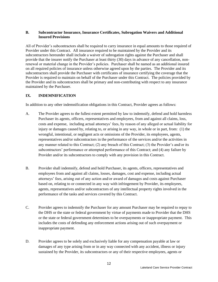#### **B. Subcontractor Insurance, Insurance Certificates, Subrogation Waivers and Additional Insured Provisions**

All of Provider's subcontractors shall be required to carry insurance in equal amounts to those required of Provider under this Contract. All insurance required to be maintained by the Provider and its subcontractors hereunder shall include a waiver of subrogation rights against the Purchaser and shall provide that the insurer notify the Purchaser at least thirty (30) days in advance of any cancellation, nonrenewal or material change in the Provider's policies. Purchaser shall be named as an additional insured on all required policies of insurance unless otherwise agreed upon by the parties. The Provider and its subcontractors shall provide the Purchaser with certificates of insurance certifying the coverage that the Provider is required to maintain on behalf of the Purchaser under this Contract. The policies provided by the Provider and its subcontractors shall be primary and non-contributing with respect to any insurance maintained by the Purchaser.

#### **IX. INDEMNIFICATION**

In addition to any other indemnification obligations in this Contract, Provider agrees as follows:

- A. The Provider agrees to the fullest extent permitted by law to indemnify, defend and hold harmless Purchaser its agents, officers, representatives and employees, from and against all claims, loss, costs and expense, including actual attorneys' fees, by reason of any alleged or actual liability for injury or damages caused by, relating to, or arising in any way, in whole or in part, from: (1) the wrongful, intentional, or negligent acts or omissions of the Provider, its employees, agents, representatives and/or subcontractors in the performance of the services and/or the activities in any manner related to this Contract; (2) any breach of this Contract; (3) the Provider's and/or its subcontractors' performance or attempted performance of this Contract; and (4) any failure by Provider and/or its subcontractors to comply with any provision in this Contract.
- B. Provider shall indemnify, defend and hold Purchaser, its agents, officers, representatives and employees from and against all claims, losses, damages, cost and expense, including actual attorneys' fees, arising out of any action and/or award of damages and costs against Purchaser based on, relating to or connected in any way with infringement by Provider, its employees, agents, representatives and/or subcontractors of any intellectual property rights involved in the performance of the tasks and services covered by this Contract.
- C. Provider agrees to indemnify the Purchaser for any amount Purchaser may be required to repay to the DHS or the state or federal government by virtue of payments made to Provider that the DHS or the state or federal government determines to be overpayments or inappropriate payment. This includes the costs of defending any enforcement actions arising out of such overpayment or inappropriate payment.
- D. Provider agrees to be solely and exclusively liable for any compensation payable at law or damages of any type arising from or in any way connected with any accident, illness or injury sustained by the Provider, its subcontractors or any of their respective employees, agents or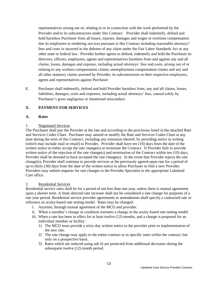representatives arising out of, relating to or in connection with the work performed by the Provider and/or its subcontractors under this Contract. Provider shall indemnify, defend and hold harmless Purchaser from all losses, injuries, damages and wages or overtime compensation due its employees in rendering services pursuant to this Contract including reasonable attorneys' fees and costs in incurred in the defense of any claim under the Fair Labor Standards Act or any other state or federal law. Provider further agrees to defend, indemnify and hold the Purchaser its directors, officers, employees, agents and representatives harmless from and against any and all claims, losses, damages and expense, including actual attorneys' fees and costs, arising out of or relating to any workers compensation claims, unemployment compensation claims and any and all other statutory claims asserted by Provider, its subcontractors or their respective employees, agents and representatives against Purchaser.

E. Purchaser shall indemnify, defend and hold Provider harmless from, any and all claims, losses, liabilities, damages, costs and expenses, including actual attorneys' fees, caused solely by Purchaser's gross negligence or intentional misconduct.

## **X. PAYMENT FOR SERVICES**

#### **A. Rates**

#### 1. Negotiated Services

The Purchaser shall pay the Provider at the rate and according to the provisions listed in the attached Rate and Services Codes Chart. Purchaser may amend or modify the Rate and Services Codes Chart at any time during the term of this Contract, including any extension thereof, by providing notice in writing (which may include mail or email) to Provider. Provider shall have ten (10) days from the date of the written notice to either accept the rate change(s) or terminate the Contract. If Provider fails to provide written notice of the rejection of the rate change(s) and termination of the Contract within ten (10) days, Provider shall be deemed to have accepted the rate change(s). In the event that Provider rejects the rate change(s), Provider shall continue to provide services at the previously agreed-upon rate for a period of up to thirty (30) days from the date of the written notice to allow Purchaser to find a new Provider. Providers may submit requests for rate changes to the Provider Specialist in the appropriate Lakeland Care office.

#### 2. Residential Services

Residential service rates shall be for a period of not less than one year, unless there is mutual agreement upon a shorter term. A State directed rate increase shall not be considered a rate change for purposes of a one year period. Residential service provider agreements or amendments shall specify a contracted rate or reference an acuity-based rate setting model. Rates may be changed:

- i. Anytime, through mutual agreement of the MCO and provider.
- ii. When a member's change in condition warrants a change in the acuity-based rate setting model.
- <span id="page-12-0"></span>iii. When a rate has been in effect for at least twelve (12) months, and a change is proposed for an individual member or facility:
	- 1) The MCO must provide a sixty-day written notice to the provider prior to implementation of the new rate.
	- 2) The rate change may apply to the entire contract or to specific rates within the contract, but only on a prospective basis.
	- 3) Rates which are reduced using sub [iii](#page-12-0) are protected from additional decreases during the subsequent twelve (12) month period.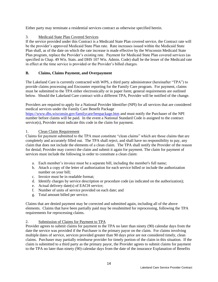Either party may terminate a residential services contract as otherwise specified herein.

# 3. Medicaid State Plan Covered Services

If the service provided under this Contract is a Medicaid State Plan covered service, the Contract rate will be the provider's approved Medicaid State Plan rate. Rate increases issued within the Medicaid State Plan shall, as of the date on which the rate increase is made effective by the Wisconsin Medicaid State Plan program, replace the Provider's existing rate. Payment for Medicaid State Plan covered services (as specified in Chap. 49 Wis. Stats. and DHS 107 Wis. Admin. Code) shall be the lesser of the Medicaid rate in effect at the time service is provided or the Provider's billed charges.

# **B. Claims, Claims Payment, and Overpayment**

The Lakeland Care is currently contracted with WPS, a third party administrator (hereinafter "TPA") to provide claims processing and Encounter reporting for the Family Care program. For payment, claims must be submitted to the TPA either electronically or in paper form; general requirements are outlined below. Should the Lakeland Care contract with a different TPA, Provider will be notified of the change.

Providers are required to apply for a National Provider Identifier (NPI) for all services that are considered medical services under the Family Care Benefit Package

<https://www.dhs.wisconsin.gov/familycare/benpackage.htm> and must notify the Purchaser of the NPI number before claims will be paid. In the event a National Standard Code is assigned to the contract service(s), Provider must indicate this code in the claim for payment.

## 1. Clean Claim Requirement

Claims for payment submitted to the TPA must constitute "clean claims" which are those claims that are completely and accurately filled out. The TPA shall reject, and shall have no responsibility to pay, any claim that does not include the elements of a clean claim. The TPA shall notify the Provider of the reason for denial; Provider may correct the claim and submit it again for payment. The claim for payment of services must include the following in order to constitute a clean claim:

- a. Each member's invoice must be a separate bill, including the member's full name;
- b. Attach a copy of the letter of authorization for each service billed or include the authorization number on your bill;
- c. Invoice must be in readable format;
- d. Identify charges by service description or procedure code (as indicated on the authorization);
- e. Actual delivery date(s) of EACH service;
- f. Number of units of service provided on each date; and
- g. Total amount billed per service.

Claims that are denied payment may be corrected and submitted again, including all of the above elements. Claims that have been partially paid may be resubmitted for reprocessing, following the TPA requirements for reprocessing claims.

## 2. Submission of Claims for Payment to TPA

Provider agrees to submit claims for payment to the TPA no later than ninety (90) calendar days from the date the service was provided if the Purchaser is the primary payor on the claim. For claims involving multiple dates of service, services provided greater than 90 days prior are not considered timely, clean claims. Purchaser may partially reimburse provider for timely portion of the claim in this situation. If the claim is submitted to a third party as the primary payor, the Provider agrees to submit claims for payment to the TPA no later than ninety (90) calendar days from the date of the insurance Explanation of Benefits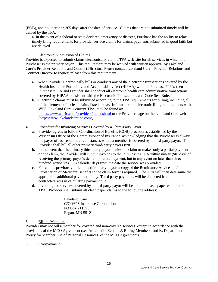(EOB), and no later than 365 days after the date of service. Claims that are not submitted timely will be denied by the TPA.

a. In the event of a federal or state declared emergency or disaster, Purchase has the ability to relax timely filing requirements for provider service claims for claims payments submitted in good faith but are delayed.

#### 3. Electronic Submission of Claims

Provider is expected to submit claims electronically via the TPA web-site for all services in which the Purchaser is the primary payor. This requirement may be waived with written approval by Lakeland Care's Provider Relations and Contract Director. Please contact Lakeland Care's Provider Relations and Contract Director to request release from this requirement.

- a. When Provider electronically bills or conducts any of the electronic transactions covered by the Health Insurance Portability and Accountability Act (HIPAA) with the Purchaser/TPA, then Purchaser/TPA and Provider shall conduct all electronic health care administrative transactions covered by HIPAA consistent with the Electronic Transactions and Code Sets Rule.
- b. Electronic claims must be submitted according to the TPA requirements for billing, including all of the elements of a clean claim, listed above. Information on electronic filing requirements with WPS, Lakeland Care's current TPA, may be found at: <https://www.wpsic.com/providers/index.shtml> or the Provider page on the Lakeland Care website [\(http://www.lakelandcareinc.com/\)](http://www.lakelandcareinc.com/).

#### 4. Procedure for Invoicing Services Covered by a Third-Party Payor

- a. Provider agrees to follow Coordination of Benefits (COB) procedures established by the Wisconsin Office of the Commissioner of Insurance, acknowledging that the Purchaser is always the payor of last resort in circumstances where a member is covered by a third-party payor. The Provider shall bill all other primary third-party payors first.
- b. In the event that the primary third-party payor denies the claim or makes only a partial payment on the claim, the Provider will submit invoices to the Purchaser's TPA within ninety (90) days of receiving the primary payor's denial or partial payment, but in any event no later than three hundred sixty-five (365) calendar days from the date the service was provided.
- c. For claims previously billed to a third party payor, a copy of the Remittance Advice and/or Explanation of Medicare Benefits to the claim form is required. The TPA will then determine the appropriate additional payment, if any. Third party payments will be deducted from the contracted rates in calculating payment due
- d. Invoicing for services covered by a third-party payor will be submitted as a paper claim to the TPA. Provider shall submit all clean paper claims to the following address:

Lakeland Care C/O WPS Insurance Corporation PO Box 211595 Eagan, MN 55121

#### 5. Billing Members

Provider may not bill a member for covered and non-covered services, except in accordance with the provisions of the MCO Agreement (see Article VII, Section J, Billing Members, and K, Department Policy for Member Use of Personal Resources, of the MCO Agreement).

6. Overpayment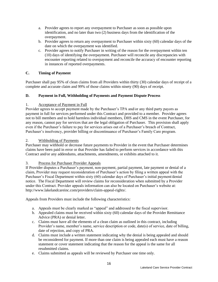- a. Provider agrees to report any overpayment to Purchaser as soon as possible upon identification, and no later than two (2) business days from the identification of the overpayment.
- b. Provider agrees to return any overpayment to Purchaser within sixty (60) calendar days of the date on which the overpayment was identified.
- c. Provider agrees to notify Purchaser in writing of the reason for the overpayment within ten (10) days of identifying the overpayment. Purchaser will reconcile any discrepancies with encounter reporting related to overpayment and reconcile the accuracy of encounter reporting in instances of reported overpayments.

# **C. Timing of Payment**

Purchaser shall pay 95% of clean claims from all Providers within thirty (30) calendar days of receipt of a complete and accurate claim and 99% of those claims within ninety (90) days of receipt.

# **D. Payment in Full, Withholding of Payments and Payment Dispute Process**

## 1. Acceptance of Payment in Full

Provider agrees to accept payment made by the Purchaser's TPA and/or any third party payors as payment in full for services performed under this Contract and provided to a member. Provider agrees not to bill members and to hold harmless individual members, DHS and CMS in the event Purchaser, for any reason, cannot pay for services that are the legal obligation of Purchaser. This provision shall apply even if the Purchaser's failure to pay for services arises out of a Purchaser's breach of Contract, Purchaser's insolvency, provider billing or discontinuance of Purchaser's Family Care program.

#### 2. Withholding of Payments

Purchaser may withhold or decrease future payments to Provider in the event that Purchaser determines claims have been paid in error or that Provider has failed to perform services in accordance with this Contract and/or any addendums, attachments, amendments, or exhibits attached to it.

## 3. Process for Purchaser Provider Appeals

If Provider disputes a Purchaser's payment, non-payment, partial payment, late payment or denial of a claim, Provider may request reconsideration of Purchaser's action by filing a written appeal with the Purchaser's Fiscal Department within sixty (60) calendar days of Purchaser's initial payment/denial notice. The Fiscal Department will review claims for reconsideration when submitted by a Provider under this Contract. Provider appeals information can also be located on Purchaser's website at: http://www.lakelandcareinc.com/providers/claim-appeal-rights/.

Appeals from Providers must include the following characteristics:

- a. Appeals must be clearly marked as "appeal" and addressed to the fiscal supervisor.
- b. Appealed claims must be received within sixty (60) calendar days of the Provider Remittance Advice (PRA) or denial letter.
- c. Claims must have all the elements of a clean claim as outlined in this contract, including Provider's name, member's name, service description or code, date(s) of service, date of billing, date of rejection, and copy of PRA.
- d. Claims must include a written statement indicating why the denial is being appealed and should be reconsidered for payment. If more than one claim is being appealed each must have a reason statement or cover statement indicating that the reason for the appeal is the same for all resubmitted claims.
- e. Claims submitted as appeals will be reviewed by Purchaser one time only.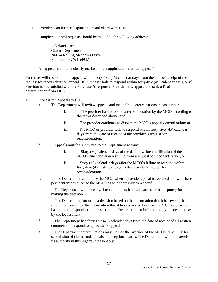f. Providers can further dispute an unpaid claim with DHS.

Completed appeal requests should be mailed to the following address:

Lakeland Care Claims Department N6654 Rolling Meadows Drive Fond du Lac, WI 54937

All appeals should be clearly marked on the application letter as "appeal."

Purchaser will respond to the appeal within forty-five (45) calendar days from the date of receipt of the request for reconsideration/appeal. If Purchaser fails to respond within forty-five (45) calendar days, or if Provider is not satisfied with the Purchaser's response, Provider may appeal and seek a final determination from DHS.

#### 4. Process for Appeals to DHS

- a. The Department will review appeals and make final determinations in cases where;
	- i. The provider has requested a reconsideration by the MCO according to the terms described above; and
	- ii. The provider continues to dispute the MCO's appeal determination; or
	- iii. The MCO or provider fails to respond within forty-five (45) calendar days from the date of receipt of the provider's request for reconsideration.
- b. Appeals must be submitted to the Department within:
	- i. Sixty (60) calendar days of the date of written notification of the MCO's final decision resulting from a request for reconsideration; or
	- ii. Sixty (60) calendar days after the MCO's failure to respond within forty-five (45) calendar days to the provider's request for reconsideration.
- c. The Department will notify the MCO when a provider appeal is received and will share pertinent information so the MCO has an opportunity to respond.
- d. The Department will accept written comments from all parties to the dispute prior to making the decision.
- e. The Department can make a decision based on the information that it has even if it might not have all of the information that it has requested because the MCO or provider has failed to respond to a request from the Department for information by the deadline set by the Department.
- f. The Department has forty-five (45) calendar days from the date of receipt of all written comments to respond to a provider's appeals.
- g. The Department determinations may include the override of the MCO's time limit for submission of claims and appeals in exceptional cases. The Department will not exercise its authority in this regard unreasonably.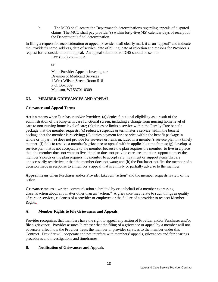h. The MCO shall accept the Department's determinations regarding appeals of disputed claims. The MCO shall pay provider(s) within forty-five (45) calendar days of receipt of the Department's final determination.

In filing a request for reconsideration or appeal, Provider shall clearly mark it as an "appeal" and indicate the Provider's name, address, date of service, date of billing, date of rejection and reasons for Provider's request for reconsideration or appeal. An appeal submitted to DHS should be sent to:

Fax:  $(608)$  266 – 5629

or

Mail: Provider Appeals Investigator Division of Medicaid Services 1 West Wilson Street, Room 518 P.O. Box 309 Madison, WI 53701-0309

# **XI. MEMBER GRIEVANCES AND APPEAL**

#### **Grievance and Appeal Terms**

**Action** means when Purchaser and/or Provider: (a) denies functional eligibility as a result of the administration of the long-term care functional screen, including a change from nursing home level of care to non-nursing home level of care; (b) denies or limits a service within the Family Care benefit package that the member requests; (c) reduces, suspends or terminates a service within the benefit package that the member is receiving; (d) denies payment for a service within the benefit package in whole or in part; (e) does not provide for services or items included in a member's service plan in a timely manner; (f) fails to resolve a member's grievance or appeal with in applicable time frames; (g) develops a service plan that is not acceptable to the member because the plan requires the member to live in a place that the member does not want to live, the plan does not provide care, treatment or support to meet the member's needs or the plan requires the member to accept care, treatment or support items that are unnecessarily restrictive or that the member does not want; and (h) the Purchaser notifies the member of a decision made in response to a member's appeal that is entirely or partially adverse to the member.

**Appeal** means when Purchaser and/or Provider takes an "action" and the member requests review of the action.

**Grievance** means a written communication submitted by or on behalf of a member expressing dissatisfaction about any matter other than an "action." A grievance may relate to such things as quality of care or services, rudeness of a provider or employee or the failure of a provider to respect Member Rights.

## **A. Member Rights to File Grievances and Appeals**

Provider recognizes that members have the right to appeal any action of Provider and/or Purchaser and/or file a grievance. Provider assures Purchaser that the filing of a grievance or appeal by a member will not adversely affect how the Provider treats the member or provides services to the member under this Contract. Provider will cooperate and not interfere with members' appeals, grievances and fair hearings procedures and investigations and timeframes.

#### **B. Notification of Grievances and Appeals**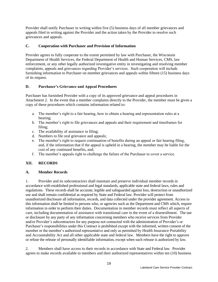Provider shall notify Purchaser in writing within five (5) business days of all member grievances and appeals filed in writing against the Provider and the action taken by the Provider to resolve such grievances and appeals.

#### **C. Cooperation with Purchaser and Provision of Information**

Provider agrees to fully cooperate to the extent permitted by law with Purchaser, the Wisconsin Department of Health Services, the Federal Department of Health and Human Services, CMS, law enforcement, or any other legally authorized investigative entity in investigating and resolving member complaints, appeals and grievances regarding Provider's services. Such cooperation will include furnishing information to Purchaser on member grievances and appeals within fifteen (15) business days of its request.

#### **D. Purchaser's Grievance and Appeal Procedures**

Purchaser has furnished Provider with a copy of its approved grievance and appeal procedures in Attachment 2. In the event that a member complains directly to the Provider, the member must be given a copy of these procedures which contains information related to:

- a. The member's right to a fair hearing, how to obtain a hearing and representation rules at a hearing;
- b. The member's right to file grievances and appeals and their requirement and timeframes for filing;
- c. The availability of assistance in filing;
- d. Numbers to file oral grievance and appeals;
- e. The member's right to request continuation of benefits during an appeal or fair hearing filing, and, if the information that if the appeal is upheld in a hearing, the member may be liable for the cost of any continued benefits, and;
- f. The member's appeals right to challenge the failure of the Purchaser to cover a service.

## **XII. RECORDS**

#### **A. Member Records**

1. Provider and its subcontractors shall maintain and preserve individual member records in accordance with established professional and legal standards, applicable state and federal laws, rules and regulations. These records shall be accurate, legible and safeguarded against loss, destruction or unauthorized use and shall remain confidential as required by State and Federal law. Provider will protect from unauthorized disclosure all information, records, and data collected under the provider agreement. Access to this information shall be limited to persons who, or agencies such as the Department and CMS which, require information in order to perform their duties. Documentation in member records must reflect all aspects of care, including documentation of assistance with transitional care in the event of a disenrollment. The use or disclosure by any party of any information concerning members who receive services from Provider and/or Provider's subcontractors for any purpose not connected with the administration of Provider's or Purchaser's responsibilities under this Contract is prohibited except with the informed, written consent of the member or the member's authorized representative and only as permitted by Health Insurance Portability and Accountability Act and all other applicable state and federal law. Members have the right to approve or refuse the release of personally identifiable information, except when such release is authorized by law.

2. Members shall have access to their records in accordance with State and Federal law. Provider agrees to make records available to members and their authorized representatives within ten (10) business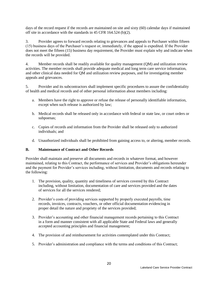days of the record request if the records are maintained on site and sixty (60) calendar days if maintained off site in accordance with the standards in 45 CFR 164.524 (b)(2).

3. Provider agrees to forward records relating to grievances and appeals to Purchaser within fifteen (15) business days of the Purchaser's request or, immediately, if the appeal is expedited. If the Provider does not meet the fifteen (15) business day requirement, the Provider must explain why and indicate when the records will be provided.

4. Member records shall be readily available for quality management (QM) and utilization review activities. The member records shall provide adequate medical and long term care service information, and other clinical data needed for QM and utilization review purposes, and for investigating member appeals and grievances.

5. Provider and its subcontractors shall implement specific procedures to assure the confidentiality of health and medical records and of other personal information about members including:

- a. Members have the right to approve or refuse the release of personally identifiable information, except when such release is authorized by law;
- b. Medical records shall be released only in accordance with federal or state law, or court orders or subpoenas;
- c. Copies of records and information from the Provider shall be released only to authorized individuals; and
- d. Unauthorized individuals shall be prohibited from gaining access to, or altering, member records.

#### **B. Maintenance of Contract and Other Records**

Provider shall maintain and preserve all documents and records in whatever format, and however maintained, relating to this Contract, the performance of services and Provider's obligations hereunder and the payment for Provider's services including, without limitation, documents and records relating to the following:

- 1. The provision, quality, quantity and timeliness of services covered by this Contract including, without limitation, documentation of care and services provided and the dates of services for all the services rendered;
- 2. Provider's costs of providing services supported by properly executed payrolls, time records, invoices, contracts, vouchers, or other official documentation evidencing in proper detail the nature and propriety of the services provided;
- 3. Provider's accounting and other financial management records pertaining to this Contract in a form and manner consistent with all applicable State and Federal laws and generally accepted accounting principles and financial management;
- 4. The provision of and reimbursement for activities contemplated under this Contract;
- 5. Provider's administration and compliance with the terms and conditions of this Contract;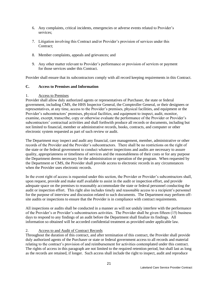- 6. Any complaints, critical incidents, emergencies or adverse events related to Provider's services;
- 7. Litigation involving this Contract and/or Provider's provision of services under this Contract:
- 8. Member complaints, appeals and grievances; and
- 9. Any other matter relevant to Provider's performance or provision of services or payment for those services under this Contract.

Provider shall ensure that its subcontractors comply with all record keeping requirements in this Contract.

#### **C. Access to Premises and Information**

#### 1. Access to Premises

Provider shall allow duly authorized agents or representatives of Purchaser, the state or federal government, including CMS, the HHS Inspector General, the Comptroller General, or their designees or representatives, at any time, access to the Provider's premises, physical facilities, and equipment or the Provider's subcontractors' premises, physical facilities, and equipment to inspect, audit, monitor, examine, excerpt, transcribe, copy or otherwise evaluate the performance of the Provider or Provider's subcontractors' contractual activities and shall forthwith produce all records or documents, including but not limited to financial, member or administrative records, books, contracts, and computer or other electronic system requested as part of such review or audit.

The Department may inspect and audit any financial, care management, member, administrative or other records of the Provider and the Provider's subcontractors. There shall be no restrictions on the right of the state or the federal government to conduct whatever inspections and audits are necessary to assure quality, appropriateness or timeliness of services and the reasonableness of their costs or for any purpose the Department deems necessary for the administration or operation of the program. When requested by the Department or CMS, the Provider shall provide access to electronic records in any circumstances when the Provider uses electronic records.

In the event right of access is requested under this section, the Provider or Provider's subcontractors shall, upon request, provide and make staff available to assist in the audit or inspection effort, and provide adequate space on the premises to reasonably accommodate the state or federal personnel conducting the audit or inspection effort. This right also includes timely and reasonable access to a recipient's personnel for the purpose of interview and discussion related to such documents. The Department may perform offsite audits or inspections to ensure that the Provider is in compliance with contract requirements.

All inspections or audits shall be conducted in a manner as will not unduly interfere with the performance of the Provider's or Provider's subcontractors activities. The Provider shall be given fifteen (15) business days to respond to any findings of an audit before the Department shall finalize its findings. All information so obtained will be accorded confidential treatment as provided under applicable law.

## 2. Access to and Audit of Contract Records

Throughout the duration of this contract, and after termination of this contract, the Provider shall provide duly authorized agents of the Purchaser or state or federal government access to all records and material relating to the contract's provision of and reimbursement for activities contemplated under this contract. The rights of access in this paragraph are not limited to the required retention period, but shall last as long as the records are retained, if longer. Such access shall include the right to inspect, audit and reproduce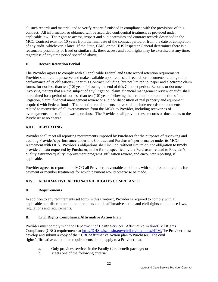all such records and material and to verify reports furnished in compliance with the provisions of this contract. All information so obtained will be accorded confidential treatment as provided under applicable law. The rights to access, inspect and audit premises and contract records described in the MCO Contract exist for 10 years from the final date of the contract period or from the date of completion of any audit, whichever is later. If the State, CMS, or the HHS Inspector General determines there is a reasonable possibility of fraud or similar risk, these access and audit rights may be exercised at any time, regardless of any time period specified above.

## **D. Record Retention Period**

The Provider agrees to comply with all applicable Federal and State record retention requirements. Provider shall retain, preserve and make available upon request all records or documents relating to the performance of its obligations under this Contract including, but not limited to, paper and electronic claim forms, for not less than ten (10) years following the end of this Contract period. Records or documents involving matters that are the subject of any litigation, claim, financial management review or audit shall be retained for a period of not less than ten (10) years following the termination or completion of the litigation, claim, financial management review or audit or disposition of real property and equipment acquired with Federal funds. The retention requirements above shall include records or documents related to recoveries of all overpayments from the MCO, to Provider, including recoveries of overpayments due to fraud, waste, or abuse. The Provider shall provide these records or documents to the Purchaser at no charge

## **XIII. REPORTING**

Provider shall meet all reporting requirements imposed by Purchaser for the purposes of reviewing and auditing Provider's performance under this Contract and Purchaser's performance under its MCO Agreement with DHS. Provider's obligations shall include, without limitation, the obligation to timely provide all data requested by Purchaser, in the format specified by the Purchaser, related to Provider's quality assurance/quality improvement programs, utilization review, and encounter reporting, if applicable.

Provider agrees to report to the MCO all Provider preventable conditions with submission of claims for payment or member treatments for which payment would otherwise be made.

## **XIV. AFFIRMATIVE ACTION/CIVIL RIGHTS COMPLIANCE**

#### **A. Requirements**

In addition to any requirements set forth in this Contract, Provider is required to comply with all applicable non-discrimination requirements and all affirmative action and civil rights compliance laws, regulations and requirements.

#### **B. Civil Rights Compliance/Affirmative Action Plan**

Provider must comply with the Department of Health Services' Affirmative Action/Civil Rights Compliance (CRC) requirements at [http://DHS.wisconsin.gov/civil-rights/Index.HTM.](http://dhs.wisconsin.gov/civilrights/Index.HTM)The Provider must develop and submit a copy of their CRC/Affirmative Action plan to Purchaser. The civil rights/affirmative action plan requirements do not apply to a Provider that:

- a. Only provides services in the Family Care benefit package; or
- b. Meets one of the following criteria: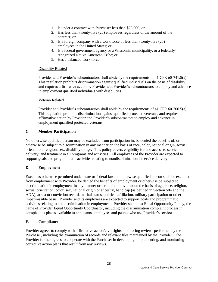- 1. Is under a contract with Purchaser less than \$25,000; or
- 2. Has less than twenty-five (25) employees regardless of the amount of the contract; or
- 3. Is a foreign company with a work force of less than twenty-five (25) employees in the United States; or
- 4. Is a federal government agency or a Wisconsin municipality, or a federallyrecognized Native American Tribe; or
- 5. Has a balanced work force.

#### Disability Related

Provider and Provider's subcontractors shall abide by the requirements of 41 CFR 60-741.5(a). This regulation prohibits discrimination against qualified individuals on the basis of disability, and requires affirmative action by Provider and Provider's subcontractors to employ and advance in employment qualified individuals with disabilities.

#### Veteran Related

Provider and Provider's subcontractors shall abide by the requirements of 41 CFR 60-300.5(a). This regulation prohibits discrimination against qualified protected veterans, and requires affirmative action by Provider and Provider's subcontractors to employ and advance in employment qualified protected veterans.

## **C. Member Participation**

No otherwise qualified person may be excluded from participation in, be denied the benefits of, or otherwise be subject to discrimination in any manner on the basis of race, color, national origin, sexual orientation, religion, sex, disability or age. This policy covers eligibility for and access to service delivery, and treatment in all programs and activities. All employees of the Provider are expected to support goals and programmatic activities relating to nondiscrimination in service delivery.

## **D. Employment**

Except as otherwise permitted under state or federal law, no otherwise qualified person shall be excluded from employment with Provider, be denied the benefits of employment or otherwise be subject to discrimination in employment in any manner or term of employment on the basis of age, race, religion, sexual orientation, color, sex, national origin or ancestry, handicap (as defined in Section 504 and the ADA), arrest or conviction record, marital status, political affiliation, military participation or other impermissible basis. Provider and its employees are expected to support goals and programmatic activities relating to nondiscrimination in employment. Provider shall post Equal Opportunity Policy, the name of Provider Equal Opportunity Coordinator, including the discrimination complaint process in conspicuous places available to applicants, employees and people who use Provider's services.

#### **E. Compliance**

Provider agrees to comply with affirmative action/civil rights monitoring reviews performed by the Purchaser, including the examination of records and relevant files maintained by the Provider. The Provider further agrees to cooperate with the Purchaser in developing, implementing, and monitoring corrective action plans that result from any reviews.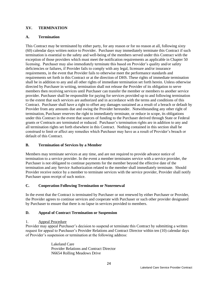## **XV. TERMINATION**

#### **A. Termination**

This Contract may be terminated by either party, for any reason or for no reason at all, following sixty (60) calendar days written notice to Provider. Purchaser may immediately terminate this Contract if such termination is essential to the safety and well-being of the members served under this Contract with the exception of those providers which must meet the notification requirements as applicable in Chapter 50 licensing. Purchaser may also immediately terminate this based on Provider's quality and/or safety deficiencies or failures, if Provider fails to comply with any legal, licensure and/or insurance requirements, in the event that Provider fails to otherwise meet the performance standards and requirements set forth in this Contract or at the direction of DHS. These rights of immediate termination shall be in addition to any and all other rights of immediate termination set forth herein. Unless otherwise directed by Purchaser in writing, termination shall not release the Provider of its obligation to serve members then receiving services until Purchaser can transfer the member or members to another service provider. Purchaser shall be responsible for paying for services provided up to and following termination to the extent that such services are authorized and in accordance with the terms and conditions of this Contract. Purchaser shall have a right to offset any damages sustained as a result of a breach or default by Provider from any amounts due and owing the Provider hereunder. Notwithstanding any other right of termination, Purchaser reserves the right to immediately terminate, or reduce in scope, its obligations under this Contract in the event that sources of funding to the Purchaser derived through State or Federal grants or Contracts are terminated or reduced. Purchaser's termination rights are in addition to any and all termination rights set forth elsewhere in this Contract. Nothing contained in this section shall be construed to limit or affect any remedies which Purchaser may have as a result of Provider's breach or default of this Contract.

## **B. Termination of Services by a Member**

Members may terminate services at any time, and are not required to provide advance notice of termination to a service provider. In the event a member terminates service with a service provider, the Purchaser is not obligated to continue payments for the member beyond the effective date of the termination and any Service Authorization related to the member shall immediately terminate. Should Provider receive notice by a member to terminate services with the service provider, Provider shall notify Purchaser upon receipt of such notice.

#### **C. Cooperation Following Termination or Nonrenewal**

In the event that the Contract is terminated by Purchaser or not renewed by either Purchaser or Provider, the Provider agrees to continue services and cooperate with Purchaser or such other provider designated by Purchaser to ensure that there is no lapse in services provided to members.

#### **D. Appeal of Contract Termination or Suspension**

#### 1. Appeal Procedure

Provider may appeal Purchaser's decision to suspend or terminate this Contract by submitting a written request for appeal to Purchaser's Provider Relations and Contract Director within ten (10) calendar days of Provider's suspension or termination at the following address:

> Lakeland Care Provider Relations and Contract Director N6654 Rolling Meadows Drive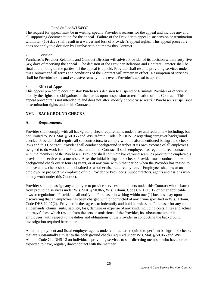#### Fond du Lac WI 54937

The request for appeal must be in writing, specify Provider's reasons for the appeal and include any and all supporting documentation for the appeal. Failure of the Provider to appeal a suspension or termination within ten (10) days shall result in a waiver and loss of Provider's appeal rights. This appeal procedure does not apply to a decision by Purchaser to not renew this Contract.

#### 2. Decision

Purchaser's Provider Relations and Contract Director will advise Provider of its decision within forty-five (45) days of receiving the appeal. The decision of the Provider Relations and Contract Director shall be final and binding on the parties. If the appeal is upheld, Provider shall resume providing services under this Contract and all terms and conditions of the Contract will remain in effect. Resumption of services shall be Provider's sole and exclusive remedy in the event Provider's appeal is upheld.

#### 3. Effect of Appeal

This appeal procedure does not stay Purchaser's decision to suspend or terminate Provider or otherwise modify the rights and obligations of the parties upon suspension or termination of this Contract. This appeal procedure is not intended to and does not alter, modify or otherwise restrict Purchaser's suspension or termination rights under this Contract.

#### **XVI. BACKGROUND CHECKS**

#### **A. Requirements**

Provider shall comply with all background check requirements under state and federal law including, but not limited to, Wis. Stat. § 50.065 and Wis. Admin. Code Ch. DHS 12 regarding caregiver background checks. Provider shall require all subcontractors, to comply with the aforementioned background check laws and this Contract. Provider shall conduct background searches at its own expense of all employees assigned to do work for the Purchaser under this Contract if such employee has regular, direct contact with the members of the Purchaser. Provider shall complete background searches prior to the employee's provision of services to a member. After the initial background check, Provider must conduct a new background check every four (4) years, or at any time within that period when the Provider has reason to believe a new check should be obtained or as otherwise required by law. "Employee" shall mean an employee or prospective employee of the Provider or Provider's, subcontractors, agents and assigns who do any work under this Contract.

Provider shall not assign any employee to provide services to members under this Contract who is barred from providing services under Wis. Stat. § 50.065, Wis. Admin. Code Ch. DHS 12 or other applicable laws or regulations. Provider shall notify the Purchaser in writing within one (1) business day upon discovering that an employee has been charged with or convicted of any crime specified in Wis. Admin. Code DHS 12.07(2). Provider further agrees to indemnify and hold harmless the Purchaser for any and all demands, claims, suits, liability, loss, damage or expense of any kind, including costs, fines and actual attorneys' fees, which results from the acts or omissions of the Provider, its subcontractors or its employees, with respect to the duties and obligations of the Provider in conducting the background investigation required hereunder.

All co-employment and fiscal employer agents under contract are required to perform background checks that are substantially similar to the back ground checks required under Wis. Stat. § 50.065 and Wis. Admin. Code Ch. DHS 12 on individuals providing services to self-directing members who have, or are expected to have, regular, direct contact with the member.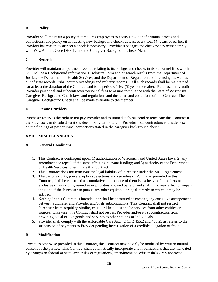# **B. Policy**

Provider shall maintain a policy that requires employees to notify Provider of criminal arrests and convictions, and policy on conducting new background checks at least every four (4) years or earlier, if Provider has reason to suspect a check is necessary. Provider's background check policy must comply with Wis. Admin. Code DHS 12 and the Caregiver Background Check Manual.

## **C. Records**

Provider will maintain all pertinent records relating to its background checks in its Personnel files which will include a Background Information Disclosure Form and/or search results from the Department of Justice, the Department of Health Services, and the Department of Regulation and Licensing, as well as out of state records, tribal court proceedings and military records. All such records shall be maintained for at least the duration of the Contract and for a period of five (5) years thereafter. Purchaser may audit Provider personnel and subcontractor personnel files to assure compliance with the State of Wisconsin Caregiver Background Check laws and regulations and the terms and conditions of this Contract. The Caregiver Background Check shall be made available to the member.

## **D. Unsafe Providers**

Purchaser reserves the right to not pay Provider and to immediately suspend or terminate this Contract if the Purchaser, in its sole discretion, deems Provider or any of Provider's subcontractors is unsafe based on the findings of past criminal convictions stated in the caregiver background check.

# **XVII. MISCELLANEOUS**

## **A. General Conditions**

- 1. This Contract is contingent upon: 1) authorization of Wisconsin and United States laws; 2) any amendment or repeal of the same affecting relevant funding; and 3) authority of the Department of Health Services to terminate this Contract.
- 2. This Contract does not terminate the legal liability of Purchaser under the MCO Agreement.
- 3. The various rights, powers, options, elections and remedies of Purchaser provided in this Contract, shall be construed as cumulative and not one of them is exclusive of the others or exclusive of any rights, remedies or priorities allowed by law, and shall in no way affect or impair the right of the Purchaser to pursue any other equitable or legal remedy to which it may be entitled.
- 4. Nothing in this Contract is intended nor shall be construed as creating any exclusive arrangement between Purchaser and Provider and/or its subcontractors. This Contract shall not restrict Purchaser from acquiring similar, equal or like goods and/or services from other entities or sources. Likewise, this Contract shall not restrict Provider and/or its subcontractors from providing equal or like goods and services to other entities or individuals.
- 5. Provider shall comply with the Affordable Care Act, 42 CFR 455.2 and 455.23 as relates to the suspension of payments to Provider pending investigation of a credible allegation of fraud.

## **B. Modification**

Except as otherwise provided in this Contract, this Contract may be only be modified by written mutual consent of the parties. This Contract shall automatically incorporate any modifications that are mandated by changes in federal or state laws, rules or regulations, amendments to Wisconsin's CMS approved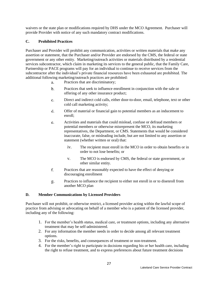waivers or the state plan or modifications required by DHS under the MCO Agreement. Purchaser will provide Provider with notice of any such mandatory contract modifications.

## **C. Prohibited Practices**

Purchaser and Provider will prohibit any communication, activities or written materials that make any assertion or statement, that the Purchaser and/or Provider are endorsed by the CMS, the federal or state government or any other entity. Marketing/outreach activities or materials distributed by a residential services subcontractor, which claim in marketing its services to the general public, that the Family Care, Partnership or PACE programs will pay for an individual to continue to receive services from the subcontractor after the individual's private financial resources have been exhausted are prohibited. The additional following marketing/outreach practices are prohibited:

- Practices that are discriminatory;  $a<sub>z</sub>$
- Practices that seek to influence enrollment in conjunction with the sale or  $\mathbf{b}$ . offering of any other insurance product;
- Direct and indirect cold calls, either door-to-door, email, telephone, text or other  $c.$ cold call marketing activity;
- $d_{-}$ Offer of material or financial gain to potential members as an inducement to enroll;
- Activities and materials that could mislead, confuse or defraud members or e. potential members or otherwise misrepresent the MCO, its marketing representatives, the Department, or CMS. Statements that would be considered inaccurate, false, or misleading include, but are not limited to any assertion or statement (whether written or oral) that:
	- iv. The recipient must enroll in the MCO in order to obtain benefits or in order to not lose benefits; or
	- v. The MCO is endorsed by CMS, the federal or state government, or other similar entity.
- $f_{\perp}$ Practices that are reasonably expected to have the effect of denying or discouraging enrollment
- Practices to influence the recipient to either not enroll in or to disenroll from  $g.$ another MCO plan

#### **D. Member Communications by Licensed Providers**

Purchaser will not prohibit, or otherwise restrict, a licensed provider acting within the lawful scope of practice from advising or advocating on behalf of a member who is a patient of the licensed provider, including any of the following:

- 1. For the member's health status, medical care, or treatment options, including any alternative treatment that may be self-administered.
- 2. For any information the member needs in order to decide among all relevant treatment options.
- 3. For the risks, benefits, and consequences of treatment or non-treatment.
- 4. For the member's right to participate in decisions regarding his or her health care, including the right to refuse treatment, and to express preferences about future treatment decisions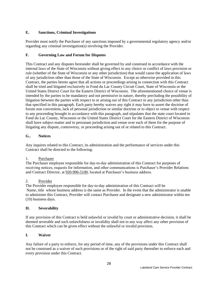# **E. Sanctions, Criminal Investigations**

Provider must notify the Purchaser of any sanctions imposed by a governmental regulatory agency and/or regarding any criminal investigation(s) involving the Provider.

# **F. Governing Law and Forum for Disputes**

This Contract and any disputes hereunder shall be governed by and construed in accordance with the internal laws of the State of Wisconsin without giving effect to any choice or conflict of laws provision or rule (whether of the State of Wisconsin or any other jurisdiction) that would cause the application of laws of any jurisdiction other than those of the State of Wisconsin. Except as otherwise provided in this Contract, the parties hereto agree that all actions or proceedings arising in connection with this Contract shall be tried and litigated exclusively in Fond du Lac County Circuit Court, State of Wisconsin or the United States District Court for the Eastern District of Wisconsin. The aforementioned choice of venue is intended by the parties to be mandatory and not permissive in nature, thereby precluding the possibility of litigation between the parties with respect to or arising out of this Contract in any jurisdiction other than that specified in this paragraph. Each party hereby waives any right it may have to assert the doctrine of forum non conveniens, lack of personal jurisdiction or similar doctrine or to object to venue with respect to any proceeding brought in accordance with this paragraph, and stipulates that the state court located in Fond du Lac County, Wisconsin or the United States District Court for the Eastern District of Wisconsin shall have subject matter and in personam jurisdiction and venue over each of them for the purpose of litigating any dispute, controversy, or proceeding arising out of or related to this Contract.

# **G.. Notices**

Any inquires related to this Contract, its administration and the performance of services under this Contract shall be directed to the following:

## 1. Purchaser

The Purchaser employee responsible for day-to-day administration of this Contract for purposes of receiving notices, requests for information, and other communications is Purchaser's Provider Relations and Contract Director, at 920-906-5100, located at Purchaser's business address.

## 2. Provider

The Provider employee responsible for day-to-day administration of this Contract will be Name, title whose business address is the same as Provider. In the event that the administrator is unable to administer this Contract, Provider will contact Purchaser and designate a new administrator within ten (10) business days.

## **H. Severability**

If any provision of this Contract is held unlawful or invalid by court or administrative decision, it shall be deemed severable and such unlawfulness or invalidity shall not in any way affect any other provision of this Contract which can be given effect without the unlawful or invalid provision.

## **I. Waiver**

Any failure of a party to enforce, for any period of time, any of the provisions under this Contract shall not be construed as a waiver of such provisions or of the right of said party thereafter to enforce each and every provision under this Contract.